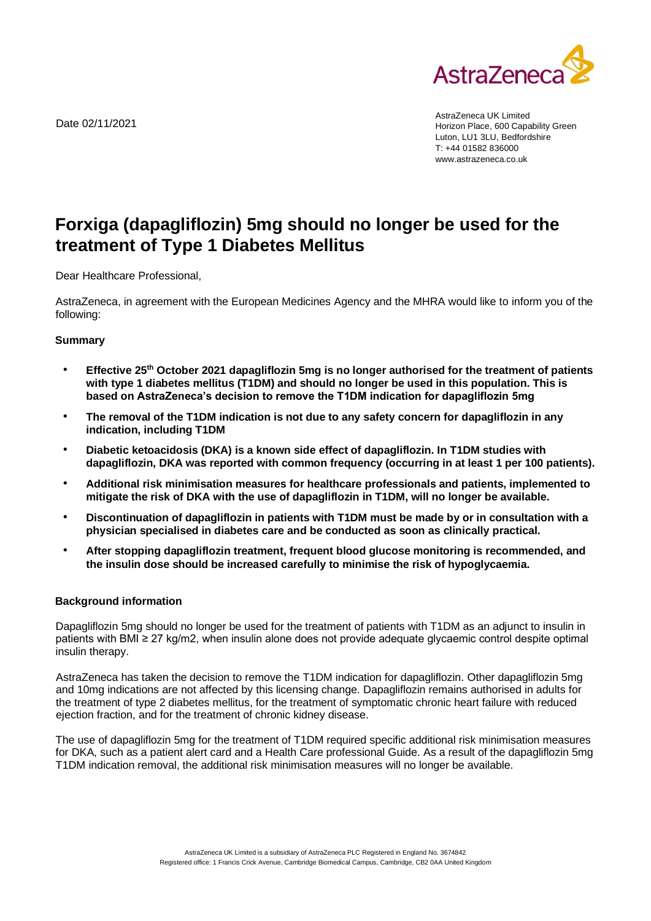

Date 02/11/2021

AstraZeneca UK Limited Horizon Place, 600 Capability Green Luton, LU1 3LU, Bedfordshire T: +44 01582 836000 www.astrazeneca.co.uk

# **Forxiga (dapagliflozin) 5mg should no longer be used for the treatment of Type 1 Diabetes Mellitus**

Dear Healthcare Professional,

AstraZeneca, in agreement with the European Medicines Agency and the MHRA would like to inform you of the following:

### **Summary**

- **Effective 25th October 2021 dapagliflozin 5mg is no longer authorised for the treatment of patients with type 1 diabetes mellitus (T1DM) and should no longer be used in this population. This is based on AstraZeneca's decision to remove the T1DM indication for dapagliflozin 5mg**
- **The removal of the T1DM indication is not due to any safety concern for dapagliflozin in any indication, including T1DM**
- **Diabetic ketoacidosis (DKA) is a known side effect of dapagliflozin. In T1DM studies with dapagliflozin, DKA was reported with common frequency (occurring in at least 1 per 100 patients).**
- **Additional risk minimisation measures for healthcare professionals and patients, implemented to mitigate the risk of DKA with the use of dapagliflozin in T1DM, will no longer be available.**
- **Discontinuation of dapagliflozin in patients with T1DM must be made by or in consultation with a physician specialised in diabetes care and be conducted as soon as clinically practical.**
- **After stopping dapagliflozin treatment, frequent blood glucose monitoring is recommended, and the insulin dose should be increased carefully to minimise the risk of hypoglycaemia.**

### **Background information**

Dapagliflozin 5mg should no longer be used for the treatment of patients with T1DM as an adjunct to insulin in patients with BMI ≥ 27 kg/m2, when insulin alone does not provide adequate glycaemic control despite optimal insulin therapy.

AstraZeneca has taken the decision to remove the T1DM indication for dapagliflozin. Other dapagliflozin 5mg and 10mg indications are not affected by this licensing change. Dapagliflozin remains authorised in adults for the treatment of type 2 diabetes mellitus, for the treatment of symptomatic chronic heart failure with reduced ejection fraction, and for the treatment of chronic kidney disease.

The use of dapagliflozin 5mg for the treatment of T1DM required specific additional risk minimisation measures for DKA, such as a patient alert card and a Health Care professional Guide. As a result of the dapagliflozin 5mg T1DM indication removal, the additional risk minimisation measures will no longer be available.